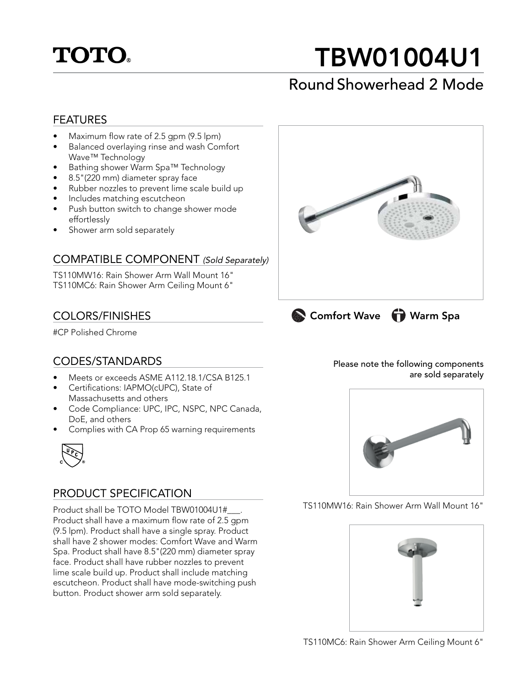

# TBW01004U1

# Round Showerhead 2 Mode

#### FEATURES

- Maximum flow rate of 2.5 gpm (9.5 lpm)
- Balanced overlaying rinse and wash Comfort Wave™ Technology
- Bathing shower Warm Spa™ Technology
- 8.5"(220 mm) diameter spray face
- Rubber nozzles to prevent lime scale build up
- Includes matching escutcheon
- Push button switch to change shower mode effortlessly
- Shower arm sold separately

#### COMPATIBLE COMPONENT (Sold Separately)

TS110MW16: Rain Shower Arm Wall Mount 16" TS110MC6: Rain Shower Arm Ceiling Mount 6"

## COLORS/FINISHES

#CP Polished Chrome

# CODES/STANDARDS

- Meets or exceeds ASME A112.18.1/CSA B125.1
- Certifications: IAPMO(cUPC), State of Massachusetts and others
- Code Compliance: UPC, IPC, NSPC, NPC Canada, DoE, and others
- Complies with CA Prop 65 warning requirements



## PRODUCT SPECIFICATION

Product shall be TOTO Model TBW01004U1#\_\_\_. Product shall have a maximum flow rate of 2.5 gpm (9.5 lpm). Product shall have a single spray. Product shall have 2 shower modes: Comfort Wave and Warm Spa. Product shall have 8.5"(220 mm) diameter spray face. Product shall have rubber nozzles to prevent lime scale build up. Product shall include matching escutcheon. Product shall have mode-switching push button. Product shower arm sold separately.



Please note the following components are sold separately



TS110MW16: Rain Shower Arm Wall Mount 16"



TS110MC6: Rain Shower Arm Ceiling Mount 6"